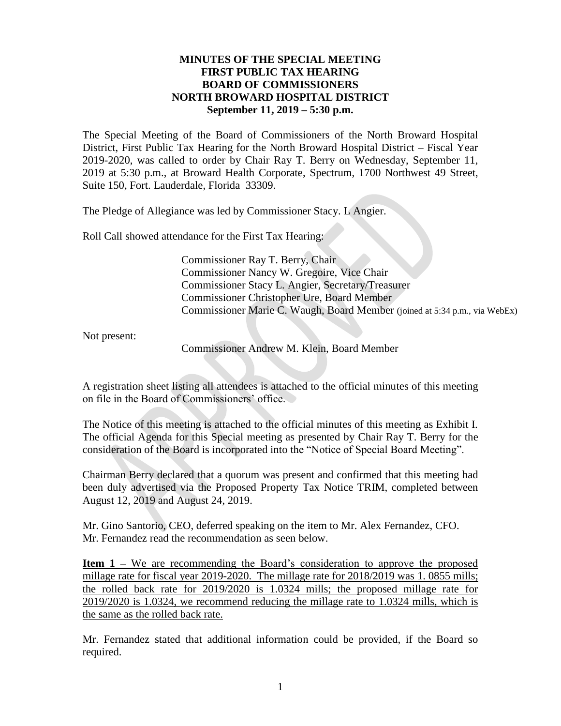## **MINUTES OF THE SPECIAL MEETING FIRST PUBLIC TAX HEARING BOARD OF COMMISSIONERS NORTH BROWARD HOSPITAL DISTRICT September 11, 2019 – 5:30 p.m.**

The Special Meeting of the Board of Commissioners of the North Broward Hospital District, First Public Tax Hearing for the North Broward Hospital District – Fiscal Year 2019-2020, was called to order by Chair Ray T. Berry on Wednesday, September 11, 2019 at 5:30 p.m., at Broward Health Corporate, Spectrum, 1700 Northwest 49 Street, Suite 150, Fort. Lauderdale, Florida 33309.

The Pledge of Allegiance was led by Commissioner Stacy. L Angier.

Roll Call showed attendance for the First Tax Hearing:

Commissioner Ray T. Berry, Chair Commissioner Nancy W. Gregoire, Vice Chair Commissioner Stacy L. Angier, Secretary/Treasurer Commissioner Christopher Ure, Board Member Commissioner Marie C. Waugh, Board Member (joined at 5:34 p.m., via WebEx)

Not present:

Commissioner Andrew M. Klein, Board Member

A registration sheet listing all attendees is attached to the official minutes of this meeting on file in the Board of Commissioners' office.

The Notice of this meeting is attached to the official minutes of this meeting as Exhibit I. The official Agenda for this Special meeting as presented by Chair Ray T. Berry for the consideration of the Board is incorporated into the "Notice of Special Board Meeting".

Chairman Berry declared that a quorum was present and confirmed that this meeting had been duly advertised via the Proposed Property Tax Notice TRIM, completed between August 12, 2019 and August 24, 2019.

Mr. Gino Santorio, CEO, deferred speaking on the item to Mr. Alex Fernandez, CFO. Mr. Fernandez read the recommendation as seen below.

**Item 1** – We are recommending the Board's consideration to approve the proposed millage rate for fiscal year 2019-2020. The millage rate for 2018/2019 was 1.0855 mills; the rolled back rate for 2019/2020 is 1.0324 mills; the proposed millage rate for 2019/2020 is 1.0324, we recommend reducing the millage rate to 1.0324 mills, which is the same as the rolled back rate.

Mr. Fernandez stated that additional information could be provided, if the Board so required.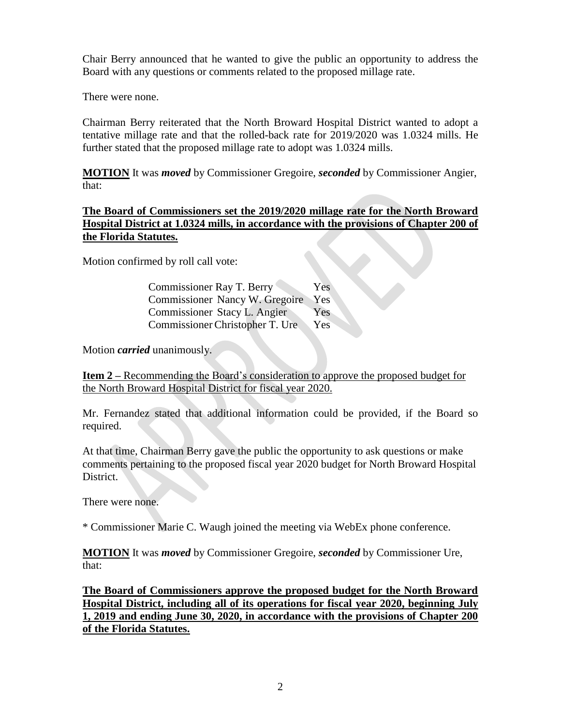Chair Berry announced that he wanted to give the public an opportunity to address the Board with any questions or comments related to the proposed millage rate.

There were none.

Chairman Berry reiterated that the North Broward Hospital District wanted to adopt a tentative millage rate and that the rolled-back rate for 2019/2020 was 1.0324 mills. He further stated that the proposed millage rate to adopt was 1.0324 mills.

**MOTION** It was *moved* by Commissioner Gregoire, *seconded* by Commissioner Angier, that:

## **The Board of Commissioners set the 2019/2020 millage rate for the North Broward Hospital District at 1.0324 mills, in accordance with the provisions of Chapter 200 of the Florida Statutes.**

Motion confirmed by roll call vote:

| Commissioner Ray T. Berry       | Yes |
|---------------------------------|-----|
| Commissioner Nancy W. Gregoire  | Yes |
| Commissioner Stacy L. Angier    | Yes |
| Commissioner Christopher T. Ure | Yes |

Motion *carried* unanimously.

**Item 2 –** Recommending the Board's consideration to approve the proposed budget for the North Broward Hospital District for fiscal year 2020.

Mr. Fernandez stated that additional information could be provided, if the Board so required.

At that time, Chairman Berry gave the public the opportunity to ask questions or make comments pertaining to the proposed fiscal year 2020 budget for North Broward Hospital District.

There were none.

\* Commissioner Marie C. Waugh joined the meeting via WebEx phone conference.

**MOTION** It was *moved* by Commissioner Gregoire, *seconded* by Commissioner Ure, that:

**The Board of Commissioners approve the proposed budget for the North Broward Hospital District, including all of its operations for fiscal year 2020, beginning July 1, 2019 and ending June 30, 2020, in accordance with the provisions of Chapter 200 of the Florida Statutes.**